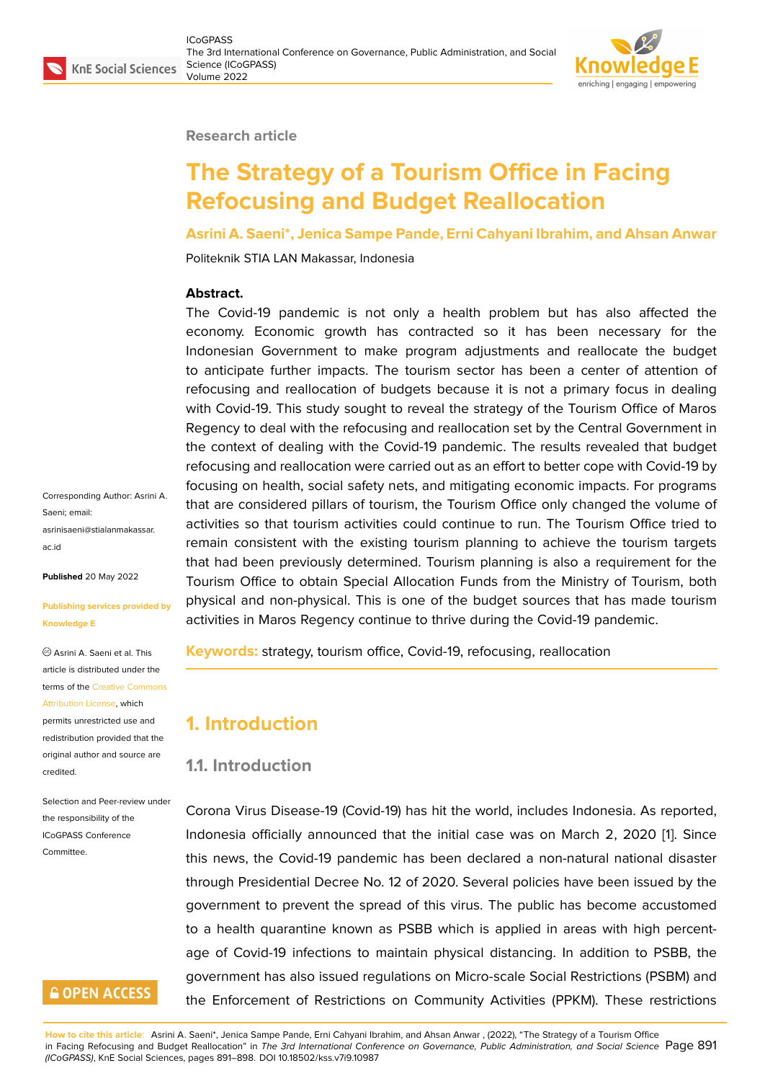#### **Research article**

# **The Strategy of a Tourism Office in Facing Refocusing and Budget Reallocation**

**Asrini A. Saeni\*, Jenica Sampe Pande, Erni Cahyani Ibrahim, and Ahsan Anwar**

Politeknik STIA LAN Makassar, Indonesia

#### **Abstract.**

The Covid-19 pandemic is not only a health problem but has also affected the economy. Economic growth has contracted so it has been necessary for the Indonesian Government to make program adjustments and reallocate the budget to anticipate further impacts. The tourism sector has been a center of attention of refocusing and reallocation of budgets because it is not a primary focus in dealing with Covid-19. This study sought to reveal the strategy of the Tourism Office of Maros Regency to deal with the refocusing and reallocation set by the Central Government in the context of dealing with the Covid-19 pandemic. The results revealed that budget refocusing and reallocation were carried out as an effort to better cope with Covid-19 by focusing on health, social safety nets, and mitigating economic impacts. For programs that are considered pillars of tourism, the Tourism Office only changed the volume of activities so that tourism activities could continue to run. The Tourism Office tried to remain consistent with the existing tourism planning to achieve the tourism targets that had been previously determined. Tourism planning is also a requirement for the Tourism Office to obtain Special Allocation Funds from the Ministry of Tourism, both physical and non-physical. This is one of the budget sources that has made tourism activities in Maros Regency continue to thrive during the Covid-19 pandemic.

**Keywords:** strategy, tourism office, Covid-19, refocusing, reallocation

### **1. Introduction**

#### **1.1. Introduction**

Corona Virus Disease-19 (Covid-19) has hit the world, includes Indonesia. As reported, Indonesia officially announced that the initial case was on March 2, 2020 [1]. Since this news, the Covid-19 pandemic has been declared a non-natural national disaster through Presidential Decree No. 12 of 2020. Several policies have been issued by the government to prevent the spread of this virus. The public has become acc[u](#page-6-0)stomed to a health quarantine known as PSBB which is applied in areas with high percentage of Covid-19 infections to maintain physical distancing. In addition to PSBB, the government has also issued regulations on Micro-scale Social Restrictions (PSBM) and the Enforcement of Restrictions on Community Activities (PPKM). These restrictions

Corresponding Author: Asrini A. Saeni; email: asrinisaeni@stialanmakassar. ac.id

**Published** 20 May 2022

#### **[Publi](mailto:asrinisaeni@stialanmakassar.ac.id)shing services provided by Knowledge E**

Asrini A. Saeni et al. This article is distributed under the terms of the Creative Commons Attribution License, which permits unrestricted use and redistribution provided that the original auth[or and source are](https://creativecommons.org/licenses/by/4.0/) [credited.](https://creativecommons.org/licenses/by/4.0/)

Selection and Peer-review under the responsibility of the ICoGPASS Conference Committee.

### **GOPEN ACCESS**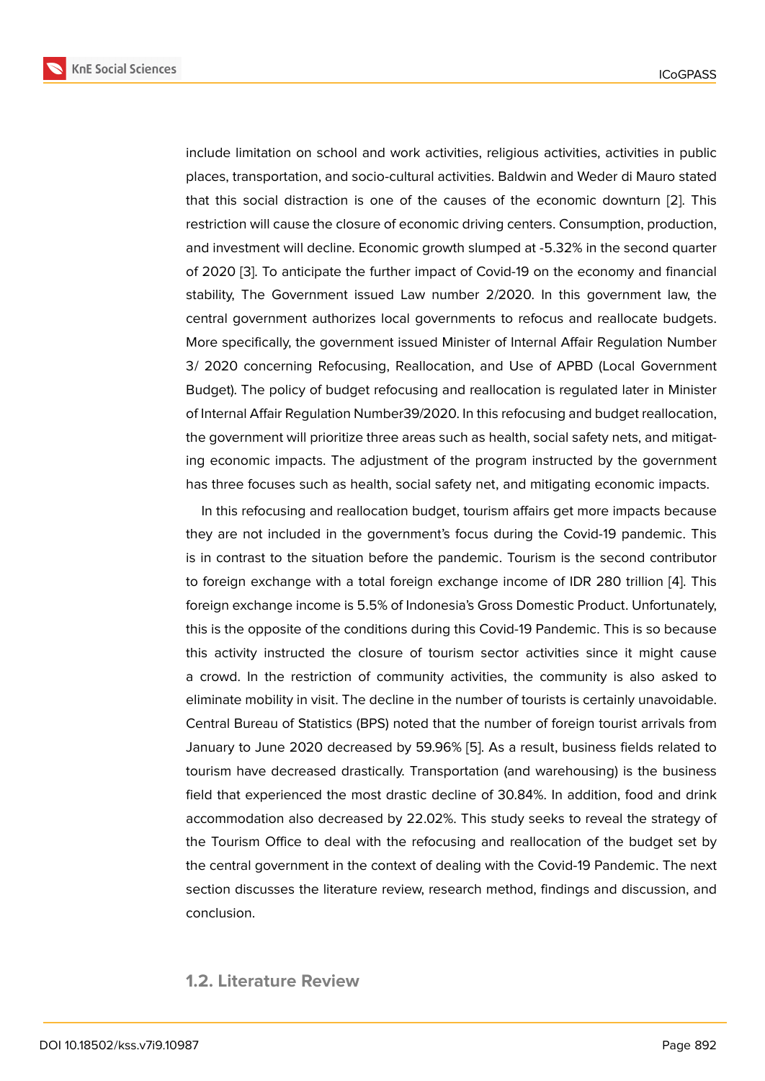include limitation on school and work activities, religious activities, activities in public places, transportation, and socio-cultural activities. Baldwin and Weder di Mauro stated that this social distraction is one of the causes of the economic downturn [2]. This restriction will cause the closure of economic driving centers. Consumption, production, and investment will decline. Economic growth slumped at -5.32% in the second quarter of 2020 [3]. To anticipate the further impact of Covid-19 on the economy and f[in](#page-6-1)ancial stability, The Government issued Law number 2/2020. In this government law, the central government authorizes local governments to refocus and reallocate budgets. More sp[eci](#page-6-2)fically, the government issued Minister of Internal Affair Regulation Number 3/ 2020 concerning Refocusing, Reallocation, and Use of APBD (Local Government Budget). The policy of budget refocusing and reallocation is regulated later in Minister of Internal Affair Regulation Number39/2020. In this refocusing and budget reallocation, the government will prioritize three areas such as health, social safety nets, and mitigating economic impacts. The adjustment of the program instructed by the government has three focuses such as health, social safety net, and mitigating economic impacts.

In this refocusing and reallocation budget, tourism affairs get more impacts because they are not included in the government's focus during the Covid-19 pandemic. This is in contrast to the situation before the pandemic. Tourism is the second contributor to foreign exchange with a total foreign exchange income of IDR 280 trillion [4]. This foreign exchange income is 5.5% of Indonesia's Gross Domestic Product. Unfortunately, this is the opposite of the conditions during this Covid-19 Pandemic. This is so because this activity instructed the closure of tourism sector activities since it migh[t](#page-6-3) cause a crowd. In the restriction of community activities, the community is also asked to eliminate mobility in visit. The decline in the number of tourists is certainly unavoidable. Central Bureau of Statistics (BPS) noted that the number of foreign tourist arrivals from January to June 2020 decreased by 59.96% [5]. As a result, business fields related to tourism have decreased drastically. Transportation (and warehousing) is the business field that experienced the most drastic decline of 30.84%. In addition, food and drink accommodation also decreased by 22.02%. T[hi](#page-6-4)s study seeks to reveal the strategy of the Tourism Office to deal with the refocusing and reallocation of the budget set by the central government in the context of dealing with the Covid-19 Pandemic. The next section discusses the literature review, research method, findings and discussion, and conclusion.

#### **1.2. Literature Review**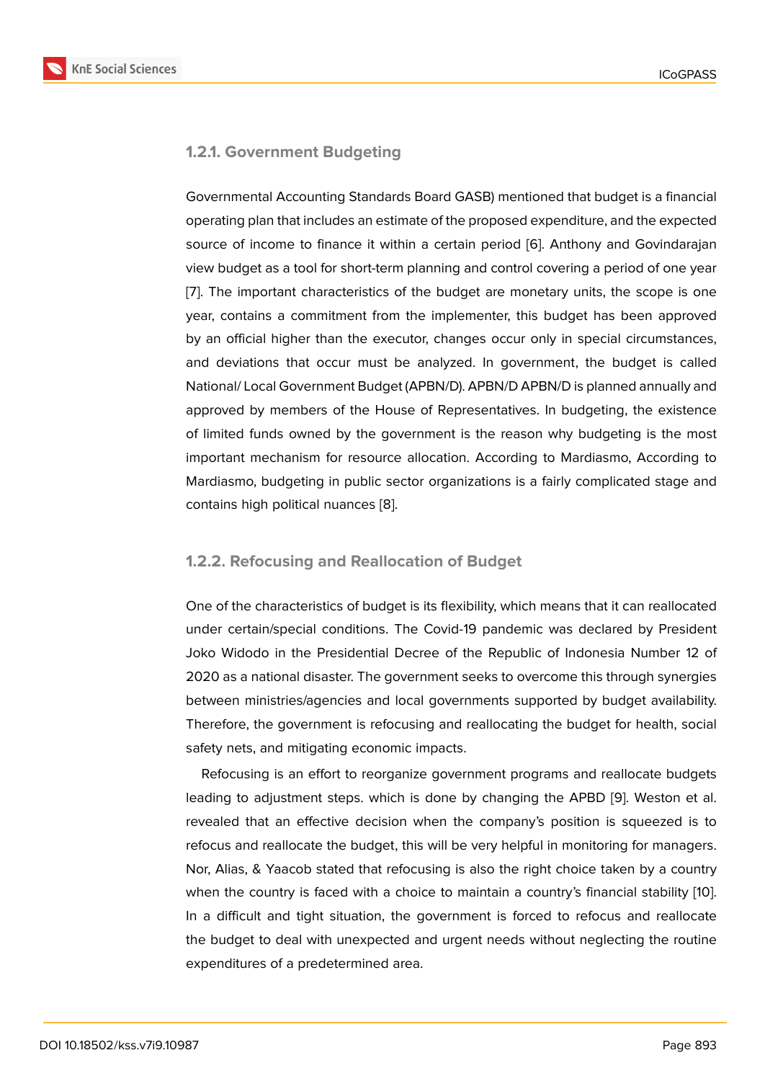#### **1.2.1. Government Budgeting**

Governmental Accounting Standards Board GASB) mentioned that budget is a financial operating plan that includes an estimate of the proposed expenditure, and the expected source of income to finance it within a certain period [6]. Anthony and Govindarajan view budget as a tool for short-term planning and control covering a period of one year [7]. The important characteristics of the budget are monetary units, the scope is one year, contains a commitment from the implementer, th[is](#page-6-5) budget has been approved by an official higher than the executor, changes occur only in special circumstances, [an](#page-6-6)d deviations that occur must be analyzed. In government, the budget is called National/ Local Government Budget (APBN/D). APBN/D APBN/D is planned annually and approved by members of the House of Representatives. In budgeting, the existence of limited funds owned by the government is the reason why budgeting is the most important mechanism for resource allocation. According to Mardiasmo, According to Mardiasmo, budgeting in public sector organizations is a fairly complicated stage and contains high political nuances [8].

#### **1.2.2. Refocusing and Rea[llo](#page-6-7)cation of Budget**

One of the characteristics of budget is its flexibility, which means that it can reallocated under certain/special conditions. The Covid-19 pandemic was declared by President Joko Widodo in the Presidential Decree of the Republic of Indonesia Number 12 of 2020 as a national disaster. The government seeks to overcome this through synergies between ministries/agencies and local governments supported by budget availability. Therefore, the government is refocusing and reallocating the budget for health, social safety nets, and mitigating economic impacts.

Refocusing is an effort to reorganize government programs and reallocate budgets leading to adjustment steps. which is done by changing the APBD [9]. Weston et al. revealed that an effective decision when the company's position is squeezed is to refocus and reallocate the budget, this will be very helpful in monitoring for managers. Nor, Alias, & Yaacob stated that refocusing is also the right choice ta[ke](#page-6-8)n by a country when the country is faced with a choice to maintain a country's financial stability [10]. In a difficult and tight situation, the government is forced to refocus and reallocate the budget to deal with unexpected and urgent needs without neglecting the routine expenditures of a predetermined area.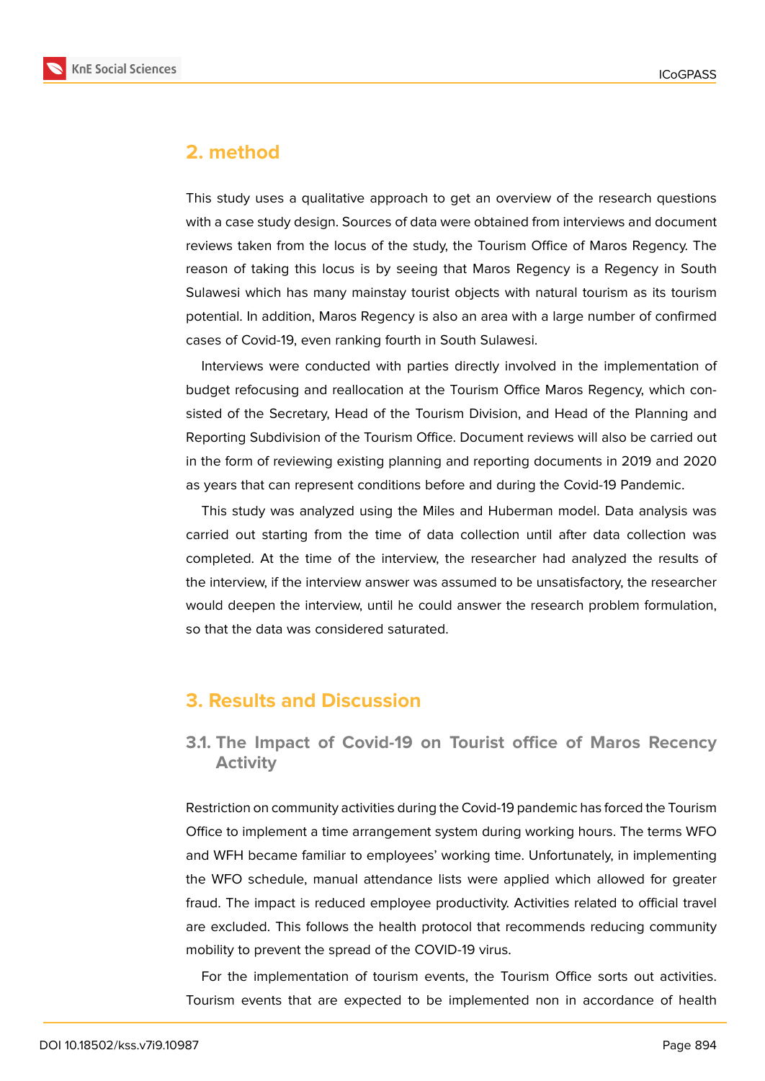

### **2. method**

This study uses a qualitative approach to get an overview of the research questions with a case study design. Sources of data were obtained from interviews and document reviews taken from the locus of the study, the Tourism Office of Maros Regency. The reason of taking this locus is by seeing that Maros Regency is a Regency in South Sulawesi which has many mainstay tourist objects with natural tourism as its tourism potential. In addition, Maros Regency is also an area with a large number of confirmed cases of Covid-19, even ranking fourth in South Sulawesi.

Interviews were conducted with parties directly involved in the implementation of budget refocusing and reallocation at the Tourism Office Maros Regency, which consisted of the Secretary, Head of the Tourism Division, and Head of the Planning and Reporting Subdivision of the Tourism Office. Document reviews will also be carried out in the form of reviewing existing planning and reporting documents in 2019 and 2020 as years that can represent conditions before and during the Covid-19 Pandemic.

This study was analyzed using the Miles and Huberman model. Data analysis was carried out starting from the time of data collection until after data collection was completed. At the time of the interview, the researcher had analyzed the results of the interview, if the interview answer was assumed to be unsatisfactory, the researcher would deepen the interview, until he could answer the research problem formulation, so that the data was considered saturated.

### **3. Results and Discussion**

### **3.1. The Impact of Covid-19 on Tourist office of Maros Recency Activity**

Restriction on community activities during the Covid-19 pandemic has forced the Tourism Office to implement a time arrangement system during working hours. The terms WFO and WFH became familiar to employees' working time. Unfortunately, in implementing the WFO schedule, manual attendance lists were applied which allowed for greater fraud. The impact is reduced employee productivity. Activities related to official travel are excluded. This follows the health protocol that recommends reducing community mobility to prevent the spread of the COVID-19 virus.

For the implementation of tourism events, the Tourism Office sorts out activities. Tourism events that are expected to be implemented non in accordance of health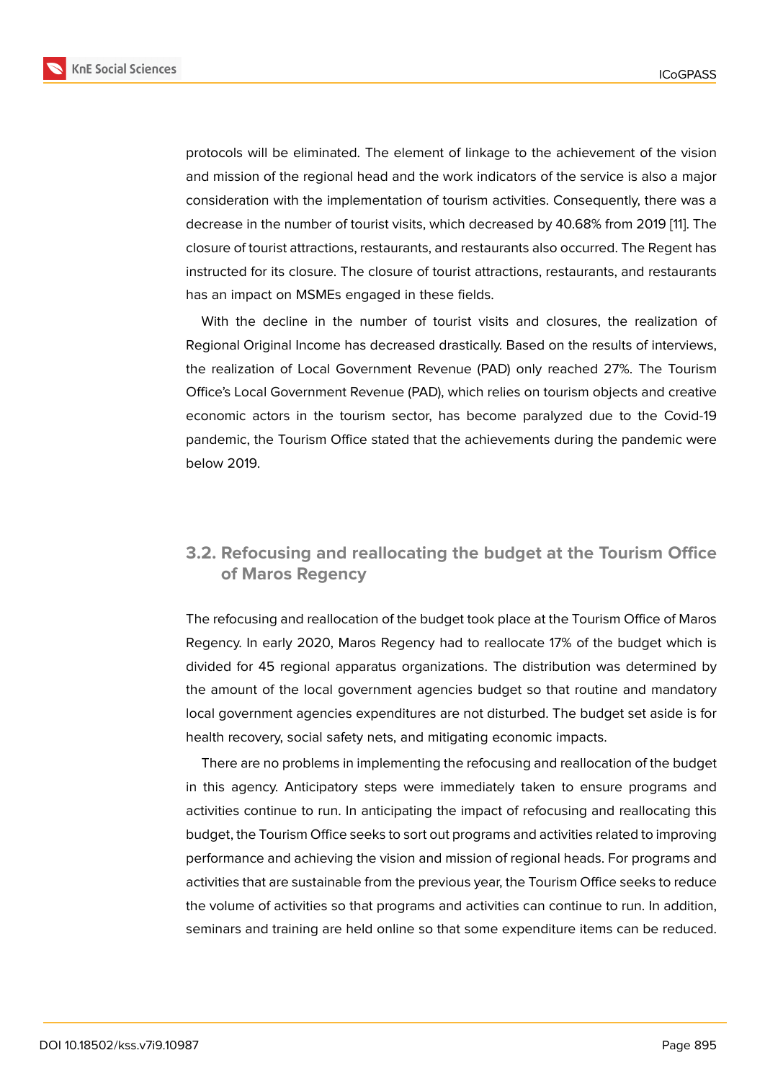protocols will be eliminated. The element of linkage to the achievement of the vision and mission of the regional head and the work indicators of the service is also a major consideration with the implementation of tourism activities. Consequently, there was a decrease in the number of tourist visits, which decreased by 40.68% from 2019 [11]. The closure of tourist attractions, restaurants, and restaurants also occurred. The Regent has instructed for its closure. The closure of tourist attractions, restaurants, and restaurants has an impact on MSMEs engaged in these fields.

With the decline in the number of tourist visits and closures, the realization of Regional Original Income has decreased drastically. Based on the results of interviews, the realization of Local Government Revenue (PAD) only reached 27%. The Tourism Office's Local Government Revenue (PAD), which relies on tourism objects and creative economic actors in the tourism sector, has become paralyzed due to the Covid-19 pandemic, the Tourism Office stated that the achievements during the pandemic were below 2019.

### **3.2. Refocusing and reallocating the budget at the Tourism Office of Maros Regency**

The refocusing and reallocation of the budget took place at the Tourism Office of Maros Regency. In early 2020, Maros Regency had to reallocate 17% of the budget which is divided for 45 regional apparatus organizations. The distribution was determined by the amount of the local government agencies budget so that routine and mandatory local government agencies expenditures are not disturbed. The budget set aside is for health recovery, social safety nets, and mitigating economic impacts.

There are no problems in implementing the refocusing and reallocation of the budget in this agency. Anticipatory steps were immediately taken to ensure programs and activities continue to run. In anticipating the impact of refocusing and reallocating this budget, the Tourism Office seeks to sort out programs and activities related to improving performance and achieving the vision and mission of regional heads. For programs and activities that are sustainable from the previous year, the Tourism Office seeks to reduce the volume of activities so that programs and activities can continue to run. In addition, seminars and training are held online so that some expenditure items can be reduced.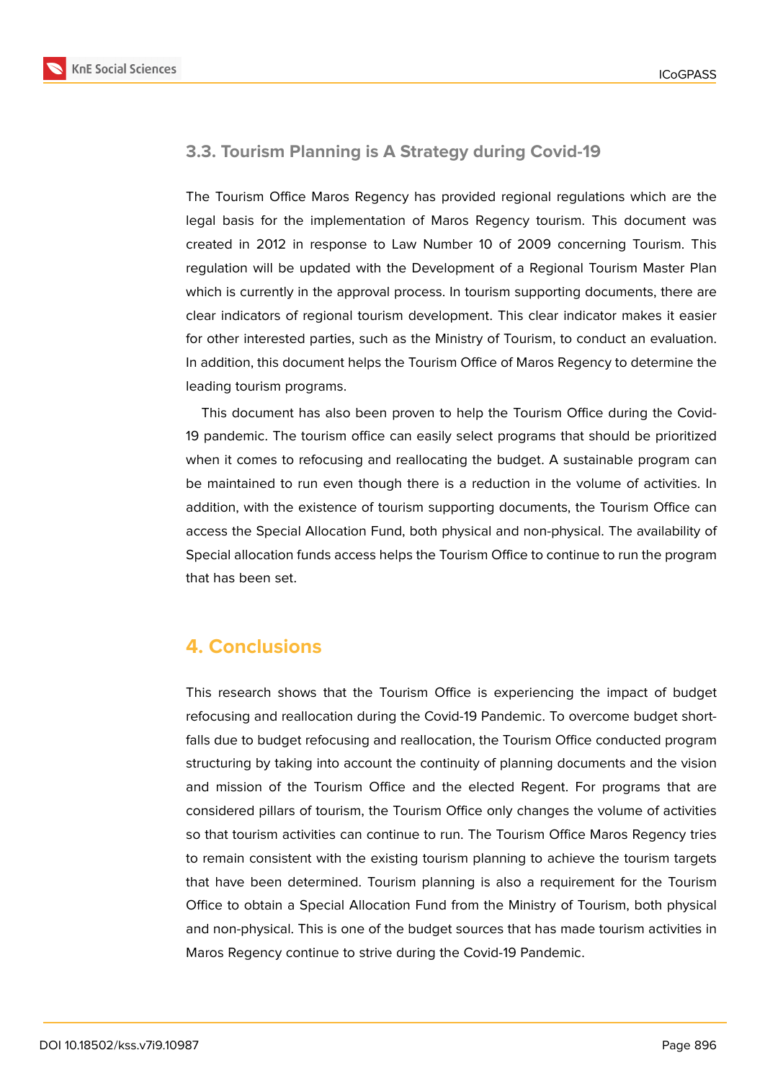

### **3.3. Tourism Planning is A Strategy during Covid-19**

The Tourism Office Maros Regency has provided regional regulations which are the legal basis for the implementation of Maros Regency tourism. This document was created in 2012 in response to Law Number 10 of 2009 concerning Tourism. This regulation will be updated with the Development of a Regional Tourism Master Plan which is currently in the approval process. In tourism supporting documents, there are clear indicators of regional tourism development. This clear indicator makes it easier for other interested parties, such as the Ministry of Tourism, to conduct an evaluation. In addition, this document helps the Tourism Office of Maros Regency to determine the leading tourism programs.

This document has also been proven to help the Tourism Office during the Covid-19 pandemic. The tourism office can easily select programs that should be prioritized when it comes to refocusing and reallocating the budget. A sustainable program can be maintained to run even though there is a reduction in the volume of activities. In addition, with the existence of tourism supporting documents, the Tourism Office can access the Special Allocation Fund, both physical and non-physical. The availability of Special allocation funds access helps the Tourism Office to continue to run the program that has been set.

## **4. Conclusions**

This research shows that the Tourism Office is experiencing the impact of budget refocusing and reallocation during the Covid-19 Pandemic. To overcome budget shortfalls due to budget refocusing and reallocation, the Tourism Office conducted program structuring by taking into account the continuity of planning documents and the vision and mission of the Tourism Office and the elected Regent. For programs that are considered pillars of tourism, the Tourism Office only changes the volume of activities so that tourism activities can continue to run. The Tourism Office Maros Regency tries to remain consistent with the existing tourism planning to achieve the tourism targets that have been determined. Tourism planning is also a requirement for the Tourism Office to obtain a Special Allocation Fund from the Ministry of Tourism, both physical and non-physical. This is one of the budget sources that has made tourism activities in Maros Regency continue to strive during the Covid-19 Pandemic.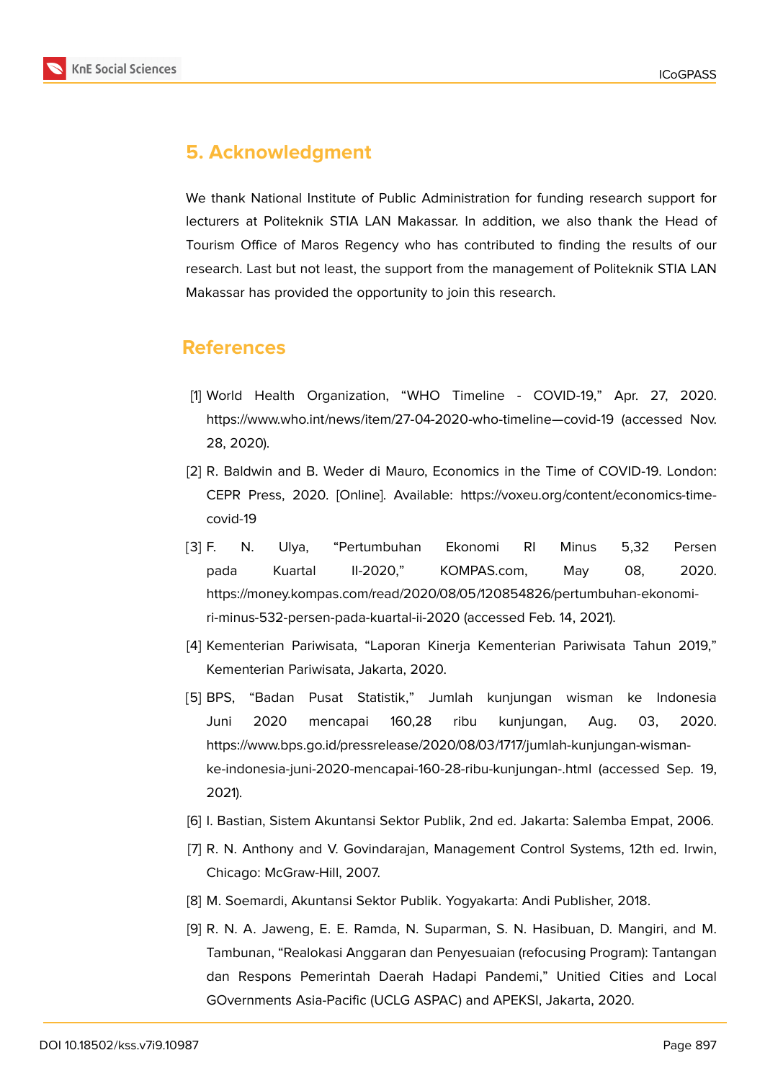

# **5. Acknowledgment**

We thank National Institute of Public Administration for funding research support for lecturers at Politeknik STIA LAN Makassar. In addition, we also thank the Head of Tourism Office of Maros Regency who has contributed to finding the results of our research. Last but not least, the support from the management of Politeknik STIA LAN Makassar has provided the opportunity to join this research.

### **References**

- <span id="page-6-0"></span>[1] World Health Organization, "WHO Timeline - COVID-19," Apr. 27, 2020. https://www.who.int/news/item/27-04-2020-who-timeline—covid-19 (accessed Nov. 28, 2020).
- <span id="page-6-1"></span>[2] R. Baldwin and B. Weder di Mauro, Economics in the Time of COVID-19. London: CEPR Press, 2020. [Online]. Available: https://voxeu.org/content/economics-timecovid-19
- <span id="page-6-2"></span>[3] F. N. Ulya, "Pertumbuhan Ekonomi RI Minus 5,32 Persen pada Kuartal II-2020," KOMPAS.com, May 08, 2020. https://money.kompas.com/read/2020/08/05/120854826/pertumbuhan-ekonomiri-minus-532-persen-pada-kuartal-ii-2020 (accessed Feb. 14, 2021).
- <span id="page-6-3"></span>[4] Kementerian Pariwisata, "Laporan Kinerja Kementerian Pariwisata Tahun 2019," Kementerian Pariwisata, Jakarta, 2020.
- <span id="page-6-4"></span>[5] BPS, "Badan Pusat Statistik," Jumlah kunjungan wisman ke Indonesia Juni 2020 mencapai 160,28 ribu kunjungan, Aug. 03, 2020. https://www.bps.go.id/pressrelease/2020/08/03/1717/jumlah-kunjungan-wismanke-indonesia-juni-2020-mencapai-160-28-ribu-kunjungan-.html (accessed Sep. 19, 2021).
- <span id="page-6-5"></span>[6] I. Bastian, Sistem Akuntansi Sektor Publik, 2nd ed. Jakarta: Salemba Empat, 2006.
- <span id="page-6-6"></span>[7] R. N. Anthony and V. Govindarajan, Management Control Systems, 12th ed. Irwin, Chicago: McGraw-Hill, 2007.
- <span id="page-6-7"></span>[8] M. Soemardi, Akuntansi Sektor Publik. Yogyakarta: Andi Publisher, 2018.
- <span id="page-6-8"></span>[9] R. N. A. Jaweng, E. E. Ramda, N. Suparman, S. N. Hasibuan, D. Mangiri, and M. Tambunan, "Realokasi Anggaran dan Penyesuaian (refocusing Program): Tantangan dan Respons Pemerintah Daerah Hadapi Pandemi," Unitied Cities and Local GOvernments Asia-Pacific (UCLG ASPAC) and APEKSI, Jakarta, 2020.